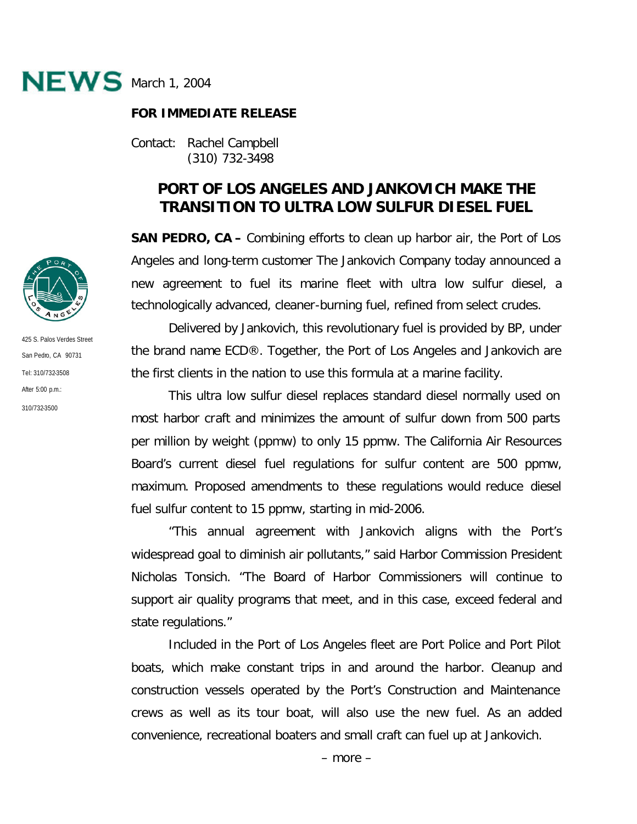

## **FOR IMMEDIATE RELEASE**

Contact: Rachel Campbell (310) 732-3498

## **PORT OF LOS ANGELES AND JANKOVICH MAKE THE TRANSITION TO ULTRA LOW SULFUR DIESEL FUEL**

**SAN PEDRO, CA –** Combining efforts to clean up harbor air, the Port of Los Angeles and long-term customer The Jankovich Company today announced a new agreement to fuel its marine fleet with ultra low sulfur diesel, a technologically advanced, cleaner-burning fuel, refined from select crudes.

Delivered by Jankovich, this revolutionary fuel is provided by BP, under the brand name ECD®. Together, the Port of Los Angeles and Jankovich are the first clients in the nation to use this formula at a marine facility.

This ultra low sulfur diesel replaces standard diesel normally used on most harbor craft and minimizes the amount of sulfur down from 500 parts per million by weight (ppmw) to only 15 ppmw. The California Air Resources Board's current diesel fuel regulations for sulfur content are 500 ppmw, maximum. Proposed amendments to these regulations would reduce diesel fuel sulfur content to 15 ppmw, starting in mid-2006.

"This annual agreement with Jankovich aligns with the Port's widespread goal to diminish air pollutants," said Harbor Commission President Nicholas Tonsich. "The Board of Harbor Commissioners will continue to support air quality programs that meet, and in this case, exceed federal and state regulations."

Included in the Port of Los Angeles fleet are Port Police and Port Pilot boats, which make constant trips in and around the harbor. Cleanup and construction vessels operated by the Port's Construction and Maintenance crews as well as its tour boat, will also use the new fuel. As an added convenience, recreational boaters and small craft can fuel up at Jankovich.



425 S. Palos Verdes Street San Pedro, CA 90731 Tel: 310/732-3508 After 5:00 p.m.: 310/732-3500